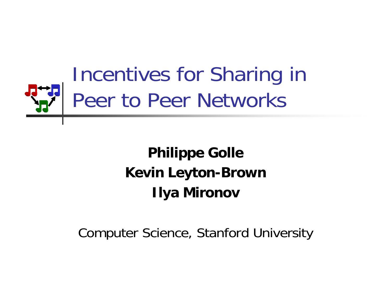

### **Philippe Golle Kevin Leyton-Brown Ilya Mironov**

#### Computer Science, Stanford University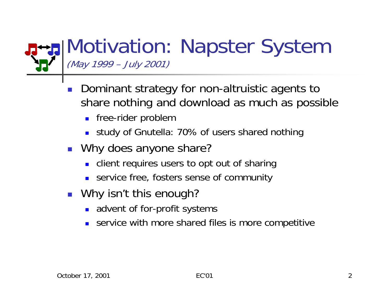#### Motivation: Napster System (May 1999 – July 2001)

- Ξ Dominant strategy for non-altruistic agents to share nothing and download as much as possible
	- **Fame-rider problem**
	- study of Gnutella: 70% of users shared nothing
- Why does anyone share?
	- **Example 1** client requires users to opt out of sharing
	- service free, fosters sense of community
- Why isn't this enough?
	- **a** advent of for-profit systems
	- П service with more shared files is more competitive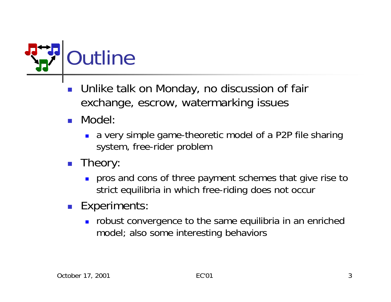

- Ξ Unlike talk on Monday, no discussion of fair exchange, escrow, watermarking issues
- Model:
	- a very simple game-theoretic model of a P2P file sharing system, free-rider problem
- **Theory:** 
	- **pros and cons of three payment schemes that give rise to** strict equilibria in which free-riding does not occur
- **Experiments:** 
	- **nobust convergence to the same equilibria in an enriched** model; also some interesting behaviors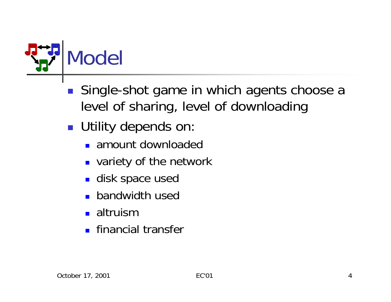

- $\mathbb{R}^2$  Single-shot game in which agents choose a level of sharing, level of downloading
- **Utility depends on:** 
	- amount downloaded
	- **DED variety of the network**
	- disk space used
	- **bandwidth used**
	- altruism
	- **Financial transfer**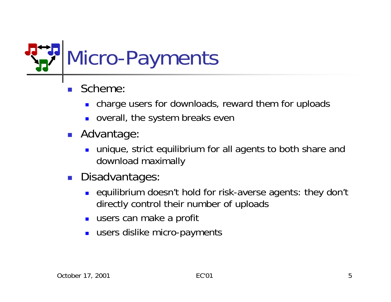

- Ξ Scheme:
	- charge users for downloads, reward them for uploads
	- overall, the system breaks even
- **Advantage** 
	- П unique, strict equilibrium for all agents to both share and download maximally
- $\mathcal{L}^{\text{max}}_{\text{max}}$  Disadvantages:
	- $\blacksquare$  equilibrium doesn't hold for risk-averse agents: they don't directl y control their number of uploads
	- **u** users can make a profit
	- П users dislike micro-payments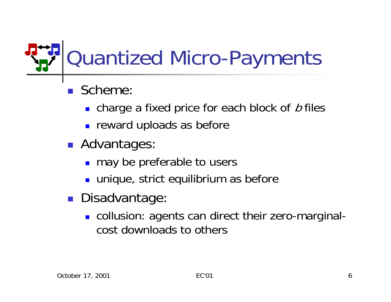## Quantized Micro-Payments

- Scheme:
	- **•** charge a fixed price for each block of  $b$  files
	- **Fig. 2** reward uploads as before
- **Advantages**:
	- **no may be preferable to users**
	- unique, strict equilibrium as before
- **Disadvantage** 
	- **.** collusion: agents can direct their zero-marginalcost downloads to others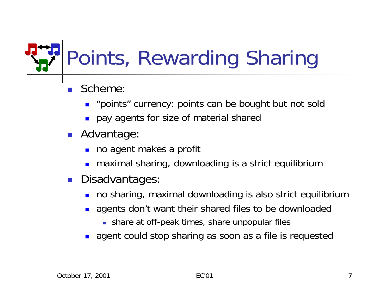# Points, Rewarding Sharing

- Ξ Scheme:
	- **.** "points" currency: points can be bought but not sold
	- $\blacksquare$ pay agents for size of material shared
- **Advantage** 
	- П no agent makes a profit
	- П maximal sharing, downloading is a strict equilibrium
- $\mathcal{L}^{\mathcal{L}}$  Disadvantages:
	- no sharing, maximal downloading is also strict equilibrium
	- **.** agents don't want their shared files to be downloaded
		- share at off-peak times, share unpopular files
	- **.** agent could stop sharing as soon as a file is requested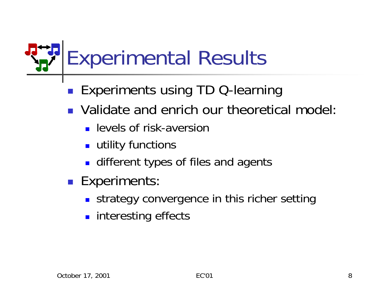Experimental Results

- $\mathbb{R}^2$ Experiments using TD Q-learning
- **Nalidate and enrich our theoretical model:** 
	- **L** levels of risk-aversion
	- $\blacksquare$  utility functions
	- **Example 1** different types of files and agents
- **Experiments:** 
	- **strategy convergence in this richer setting**
	- **nd interesting effects**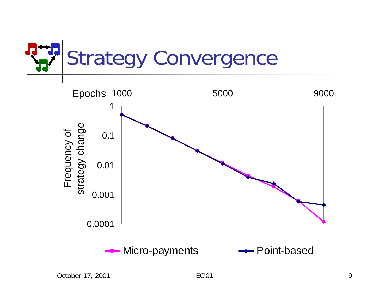

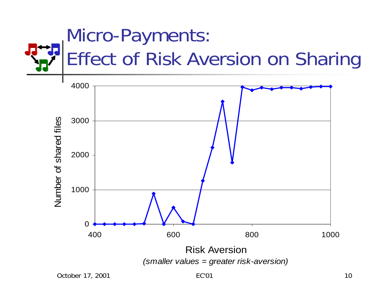

October 17, 2001 10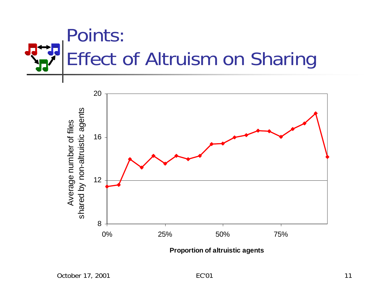



**Proportion of altruistic a g e nts**